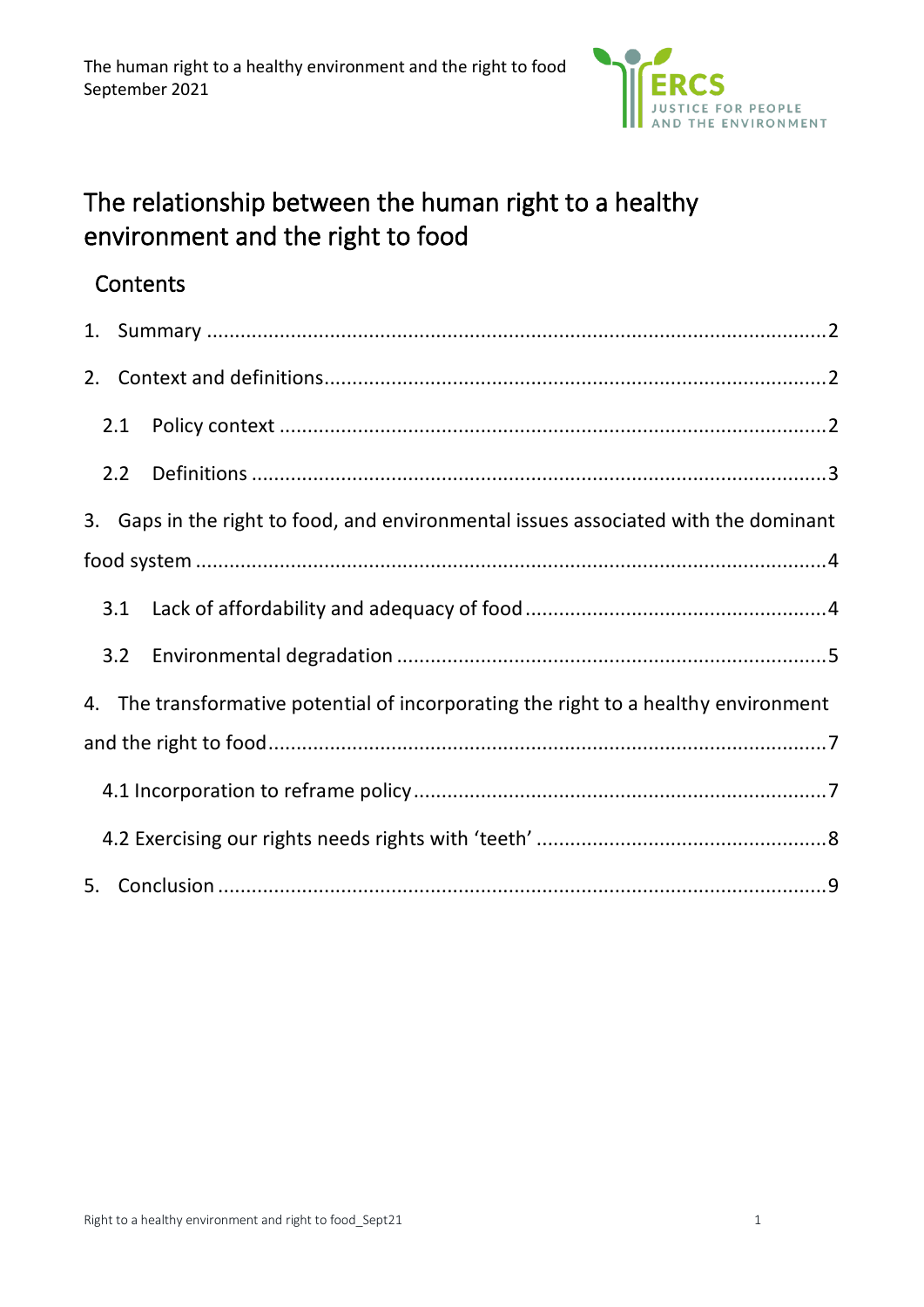

# The relationship between the human right to a healthy environment and the right to food

## **Contents**

| 1. |     |                                                                                     |
|----|-----|-------------------------------------------------------------------------------------|
| 2. |     |                                                                                     |
|    | 2.1 |                                                                                     |
|    | 2.2 |                                                                                     |
|    |     | 3. Gaps in the right to food, and environmental issues associated with the dominant |
|    |     |                                                                                     |
|    | 3.1 |                                                                                     |
|    | 3.2 |                                                                                     |
|    |     | 4. The transformative potential of incorporating the right to a healthy environment |
|    |     |                                                                                     |
|    |     |                                                                                     |
|    |     |                                                                                     |
| 5. |     |                                                                                     |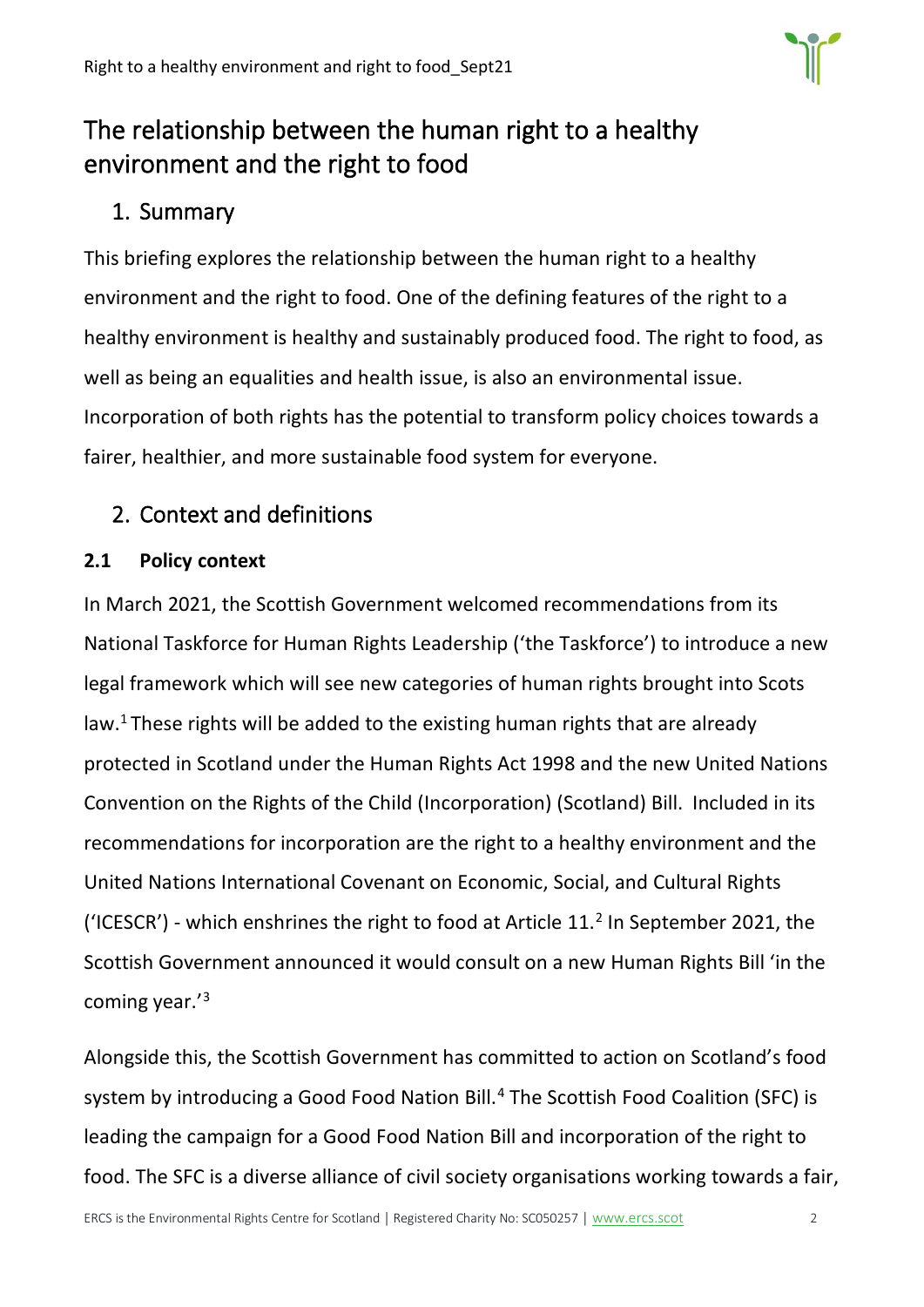

# The relationship between the human right to a healthy environment and the right to food

## <span id="page-1-0"></span>1. Summary

This briefing explores the relationship between the human right to a healthy environment and the right to food. One of the defining features of the right to a healthy environment is healthy and sustainably produced food. The right to food, as well as being an equalities and health issue, is also an environmental issue. Incorporation of both rights has the potential to transform policy choices towards a fairer, healthier, and more sustainable food system for everyone.

## <span id="page-1-1"></span>2. Context and definitions

## <span id="page-1-2"></span>**2.1 Policy context**

In March 2021, the Scottish Government welcomed recommendations from its National Taskforce for Human Rights Leadership ('the Taskforce') to introduce a new legal framework which will see new categories of human rights brought into Scots law.<sup>1</sup> These rights will be added to the existing human rights that are already protected in Scotland under the Human Rights Act 1998 and the new United Nations Convention on the Rights of the Child (Incorporation) (Scotland) Bill. Included in its recommendations for incorporation are the right to a healthy environment and the United Nations International Covenant on Economic, Social, and Cultural Rights ('ICESCR') - which enshrines the right to food at Article 11. $^2$  In September 2021, the Scottish Government announced it would consult on a new Human Rights Bill 'in the coming year.'<sup>3</sup>

Alongside this, the Scottish Government has committed to action on Scotland's food system by introducing a Good Food Nation Bill.<sup>4</sup> The Scottish Food Coalition (SFC) is leading the campaign for a Good Food Nation Bill and incorporation of the right to food. The SFC is a diverse alliance of civil society organisations working towards a fair,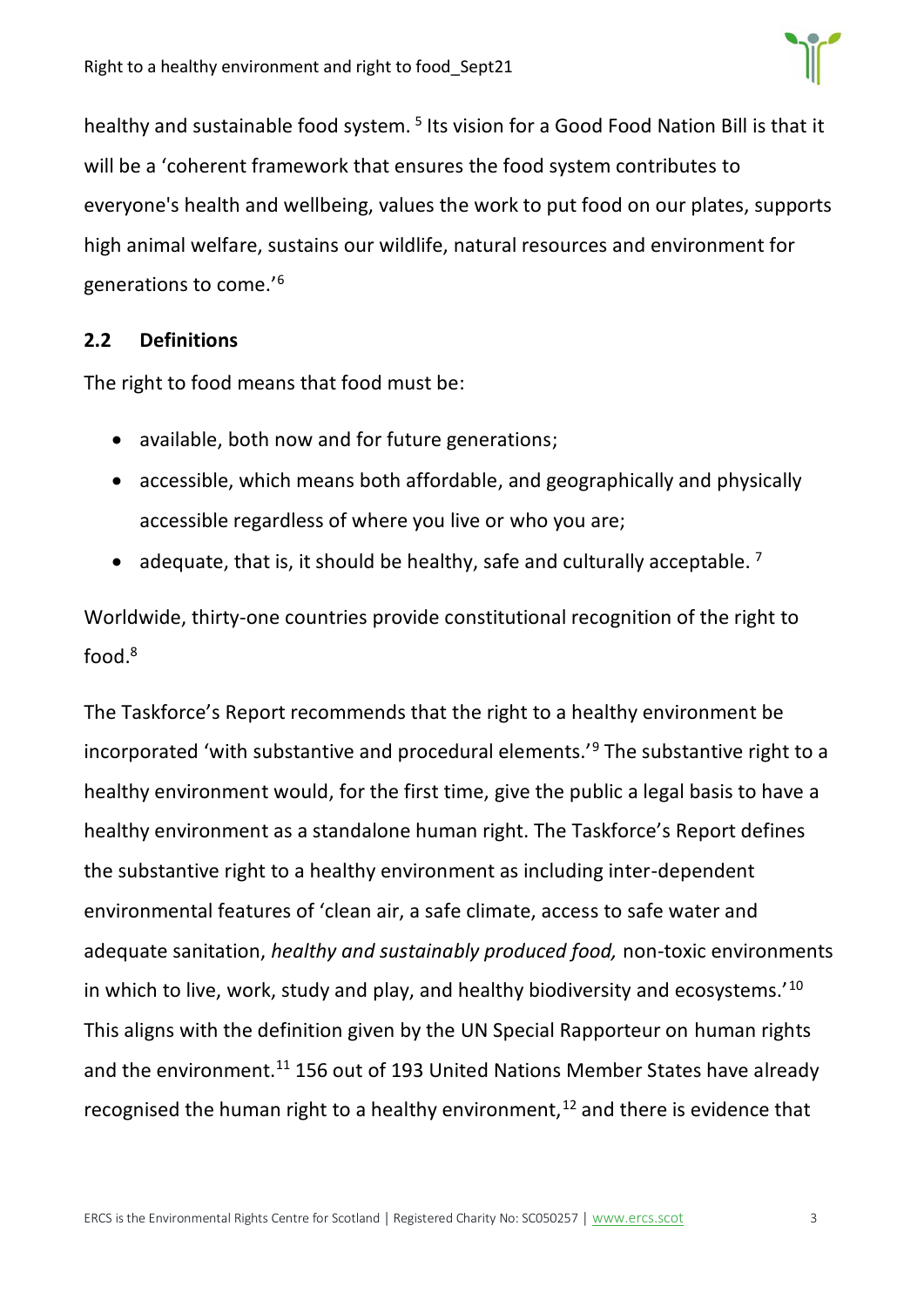

healthy and sustainable food system.<sup>5</sup> Its vision for a Good Food Nation Bill is that it will be a 'coherent framework that ensures the food system contributes to everyone's health and wellbeing, values the work to put food on our plates, supports high animal welfare, sustains our wildlife, natural resources and environment for generations to come.'<sup>6</sup>

### <span id="page-2-0"></span>**2.2 Definitions**

The right to food means that food must be:

- available, both now and for future generations;
- accessible, which means both affordable, and geographically and physically accessible regardless of where you live or who you are;
- adequate, that is, it should be healthy, safe and culturally acceptable.  $^7$

Worldwide, thirty-one countries provide constitutional recognition of the right to food.<sup>8</sup>

The Taskforce's Report recommends that the right to a healthy environment be incorporated 'with substantive and procedural elements.'<sup>9</sup> The substantive right to a healthy environment would, for the first time, give the public a legal basis to have a healthy environment as a standalone human right. The Taskforce's Report defines the substantive right to a healthy environment as including inter-dependent environmental features of 'clean air, a safe climate, access to safe water and adequate sanitation, *healthy and sustainably produced food,* non-toxic environments in which to live, work, study and play, and healthy biodiversity and ecosystems.'<sup>10</sup> This aligns with the definition given by the UN Special Rapporteur on human rights and the environment.<sup>11</sup> 156 out of 193 United Nations Member States have already recognised the human right to a healthy environment, $12$  and there is evidence that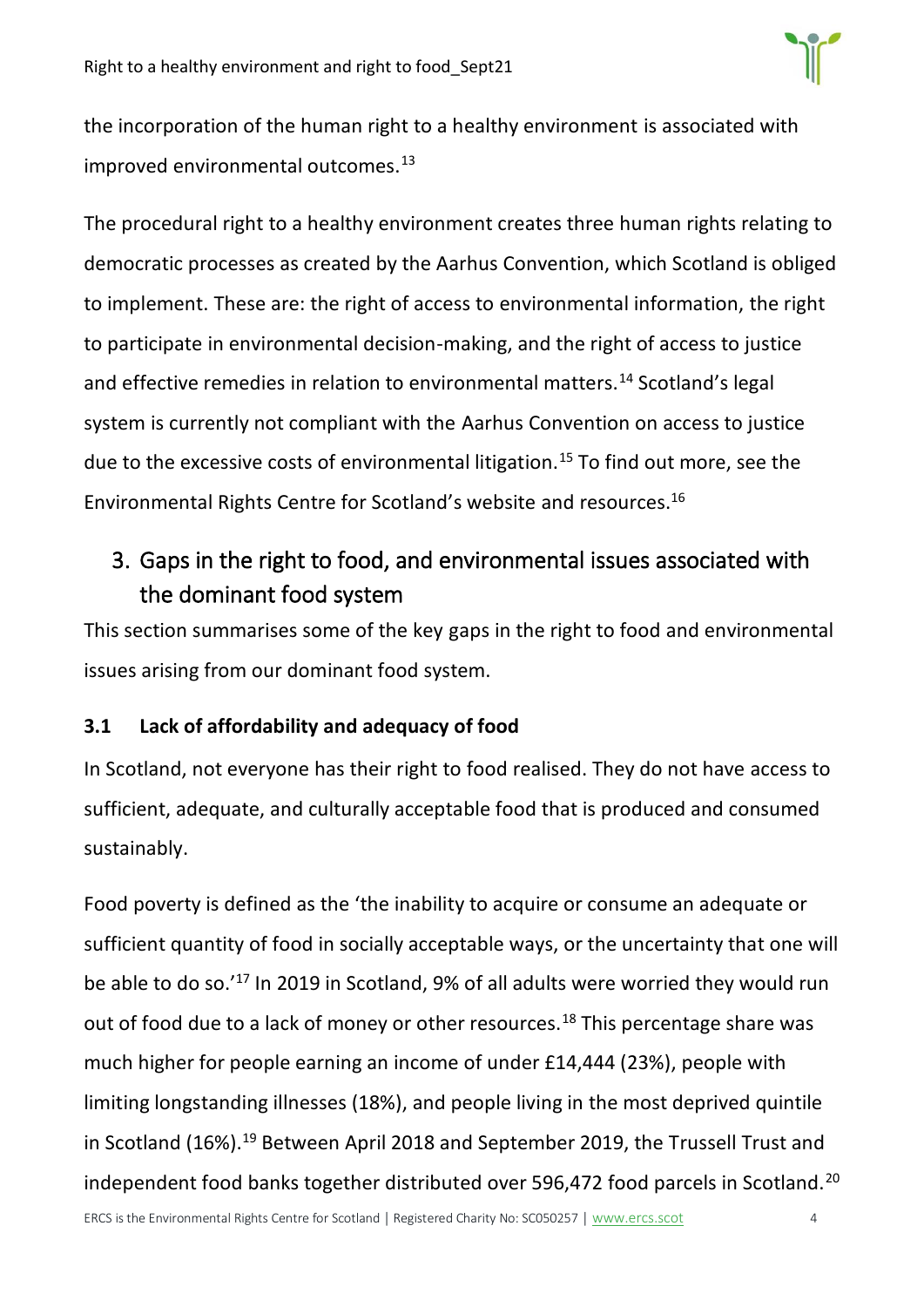

the incorporation of the human right to a healthy environment is associated with improved environmental outcomes.<sup>13</sup>

The procedural right to a healthy environment creates three human rights relating to democratic processes as created by the Aarhus Convention, which Scotland is obliged to implement. These are: the right of access to environmental information, the right to participate in environmental decision-making, and the right of access to justice and effective remedies in relation to environmental matters.<sup>14</sup> Scotland's legal system is currently not compliant with the Aarhus Convention on access to justice due to the excessive costs of environmental litigation.<sup>15</sup> To find out more, see the Environmental Rights Centre for Scotland's website and resources.<sup>16</sup>

# <span id="page-3-0"></span>3. Gaps in the right to food, and environmental issues associated with the dominant food system

This section summarises some of the key gaps in the right to food and environmental issues arising from our dominant food system.

### <span id="page-3-1"></span>**3.1 Lack of affordability and adequacy of food**

In Scotland, not everyone has their right to food realised. They do not have access to sufficient, adequate, and culturally acceptable food that is produced and consumed sustainably.

Food poverty is defined as the 'the inability to acquire or consume an adequate or sufficient quantity of food in socially acceptable ways, or the uncertainty that one will be able to do so.'<sup>17</sup> In 2019 in Scotland, 9% of all adults were worried they would run out of food due to a lack of money or other resources.<sup>18</sup> This percentage share was much higher for people earning an income of under £14,444 (23%), people with limiting longstanding illnesses (18%), and people living in the most deprived quintile in Scotland (16%).<sup>19</sup> Between April 2018 and September 2019, the Trussell Trust and independent food banks together distributed over 596,472 food parcels in Scotland.<sup>20</sup>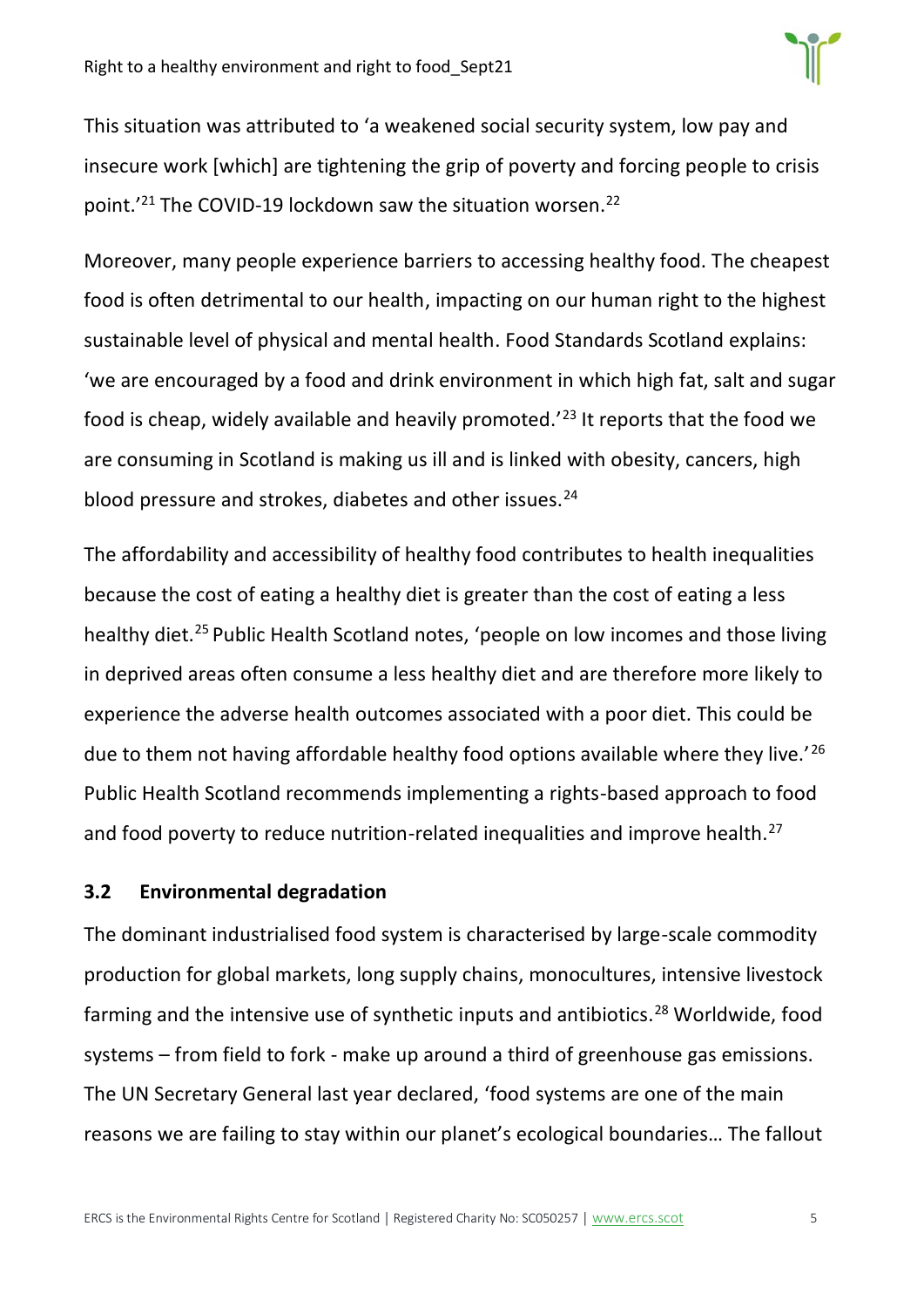This situation was attributed to 'a weakened social security system, low pay and insecure work [which] are tightening the grip of poverty and forcing people to crisis point.<sup>'21</sup> The COVID-19 lockdown saw the situation worsen.<sup>22</sup>

Moreover, many people experience barriers to accessing healthy food. The cheapest food is often detrimental to our health, impacting on our human right to the highest sustainable level of physical and mental health. Food Standards Scotland explains: 'we are encouraged by a food and drink environment in which high fat, salt and sugar food is cheap, widely available and heavily promoted.'<sup>23</sup> It reports that the food we are consuming in Scotland is making us ill and is linked with obesity, cancers, high blood pressure and strokes, diabetes and other issues.<sup>24</sup>

The affordability and accessibility of healthy food contributes to health inequalities because the cost of eating a healthy diet is greater than the cost of eating a less healthy diet.<sup>25</sup> Public Health Scotland notes, 'people on low incomes and those living in deprived areas often consume a less healthy diet and are therefore more likely to experience the adverse health outcomes associated with a poor diet. This could be due to them not having affordable healthy food options available where they live.<sup>'26</sup> Public Health Scotland recommends implementing a rights-based approach to food and food poverty to reduce nutrition-related inequalities and improve health.<sup>27</sup>

### <span id="page-4-0"></span>**3.2 Environmental degradation**

The dominant industrialised food system is characterised by large-scale commodity production for global markets, long supply chains, monocultures, intensive livestock farming and the intensive use of synthetic inputs and antibiotics.<sup>28</sup> Worldwide, food systems – from field to fork - make up around a third of greenhouse gas emissions. The UN Secretary General last year declared, 'food systems are one of the main reasons we are failing to stay within our planet's ecological boundaries… The fallout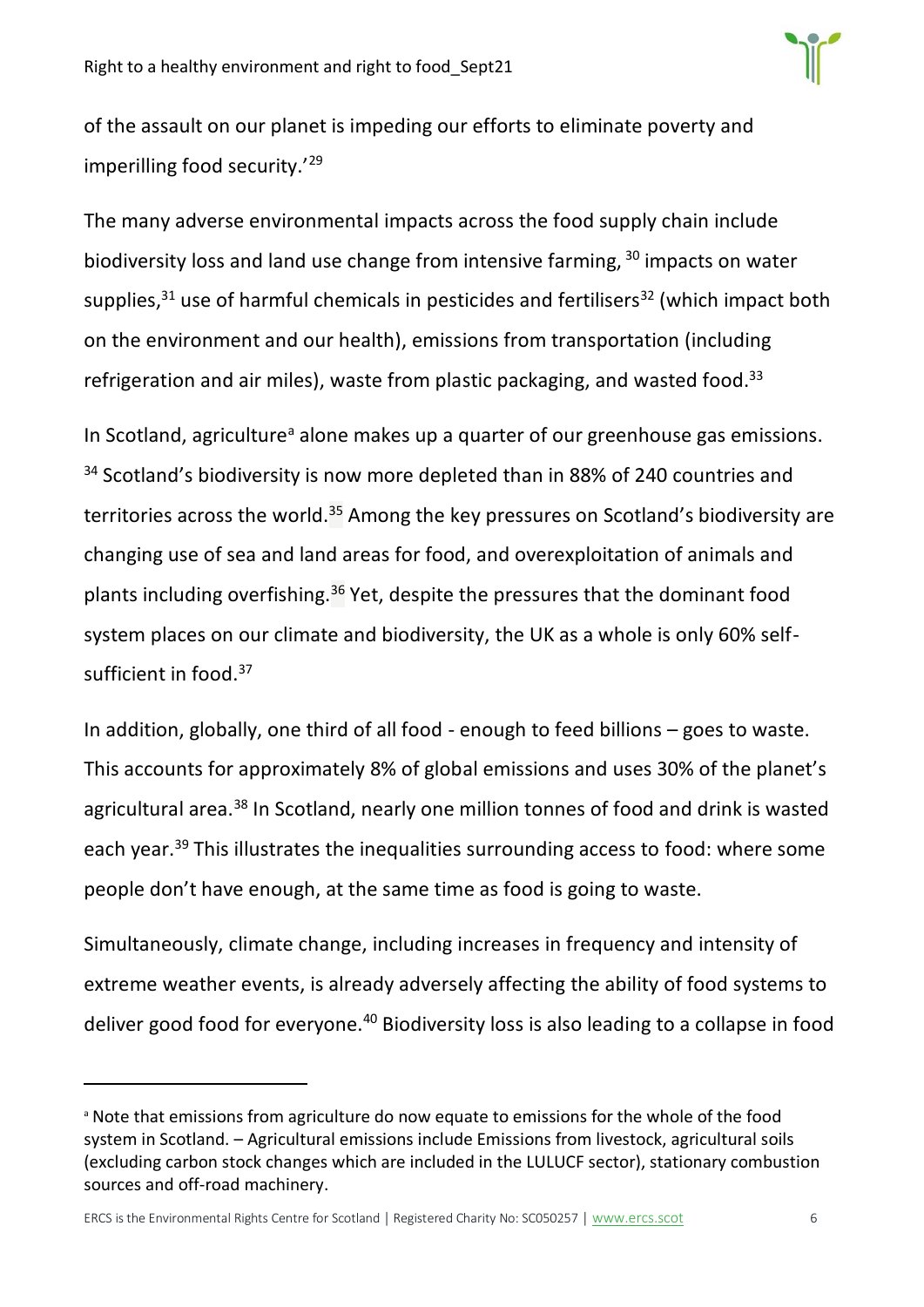

of the assault on our planet is impeding our efforts to eliminate poverty and imperilling food security.'<sup>29</sup>

The many adverse environmental impacts across the food supply chain include biodiversity loss and land use change from intensive farming, <sup>30</sup> impacts on water supplies, $31$  use of harmful chemicals in pesticides and fertilisers $32$  (which impact both on the environment and our health), emissions from transportation (including refrigeration and air miles), waste from plastic packaging, and wasted food.<sup>33</sup>

In Scotland, agriculture<sup>a</sup> alone makes up a quarter of our greenhouse gas emissions. <sup>34</sup> Scotland's biodiversity is now more depleted than in 88% of 240 countries and territories across the world.<sup>35</sup> Among the key pressures on Scotland's biodiversity are changing use of sea and land areas for food, and overexploitation of animals and plants including overfishing.<sup>36</sup> Yet, despite the pressures that the dominant food system places on our climate and biodiversity, the UK as a whole is only 60% selfsufficient in food.<sup>37</sup>

In addition, globally, one third of all food - enough to feed billions – goes to waste. This accounts for approximately 8% of global emissions and uses 30% of the planet's agricultural area.<sup>38</sup> In Scotland, nearly one million tonnes of food and drink is wasted each year.<sup>39</sup> This illustrates the inequalities surrounding access to food: where some people don't have enough, at the same time as food is going to waste.

Simultaneously, climate change, including increases in frequency and intensity of extreme weather events, is already adversely affecting the ability of food systems to deliver good food for everyone.<sup>40</sup> Biodiversity loss is also leading to a collapse in food

ERCS is the Environmental Rights Centre for Scotland | Registered Charity No: SC050257 | [www.ercs.scot](http://www.ercs.scot/) 66

<sup>a</sup> Note that emissions from agriculture do now equate to emissions for the whole of the food system in Scotland. – Agricultural emissions include Emissions from livestock, agricultural soils (excluding carbon stock changes which are included in the LULUCF sector), stationary combustion sources and off-road machinery.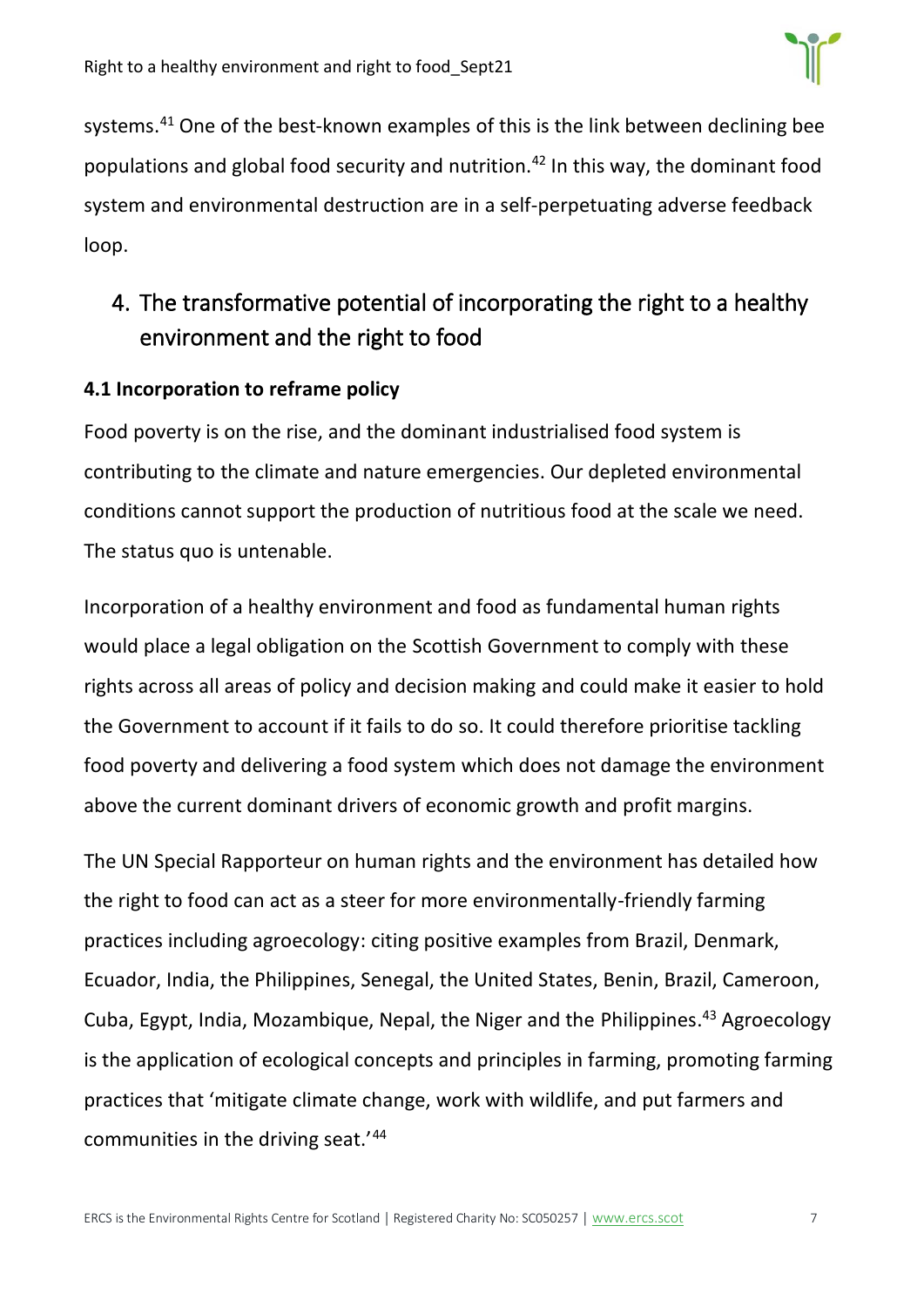

systems.<sup>41</sup> One of the best-known examples of this is the link between declining bee populations and global food security and nutrition.<sup>42</sup> In this way, the dominant food system and environmental destruction are in a self-perpetuating adverse feedback loop.

## <span id="page-6-0"></span>4. The transformative potential of incorporating the right to a healthy environment and the right to food

#### <span id="page-6-1"></span>**4.1 Incorporation to reframe policy**

Food poverty is on the rise, and the dominant industrialised food system is contributing to the climate and nature emergencies. Our depleted environmental conditions cannot support the production of nutritious food at the scale we need. The status quo is untenable.

Incorporation of a healthy environment and food as fundamental human rights would place a legal obligation on the Scottish Government to comply with these rights across all areas of policy and decision making and could make it easier to hold the Government to account if it fails to do so. It could therefore prioritise tackling food poverty and delivering a food system which does not damage the environment above the current dominant drivers of economic growth and profit margins.

The UN Special Rapporteur on human rights and the environment has detailed how the right to food can act as a steer for more environmentally-friendly farming practices including agroecology: citing positive examples from Brazil, Denmark, Ecuador, India, the Philippines, Senegal, the United States, Benin, Brazil, Cameroon, Cuba, Egypt, India, Mozambique, Nepal, the Niger and the Philippines. <sup>43</sup> Agroecology is the application of ecological concepts and principles in farming, promoting farming practices that 'mitigate climate change, work with wildlife, and put farmers and communities in the driving seat.'44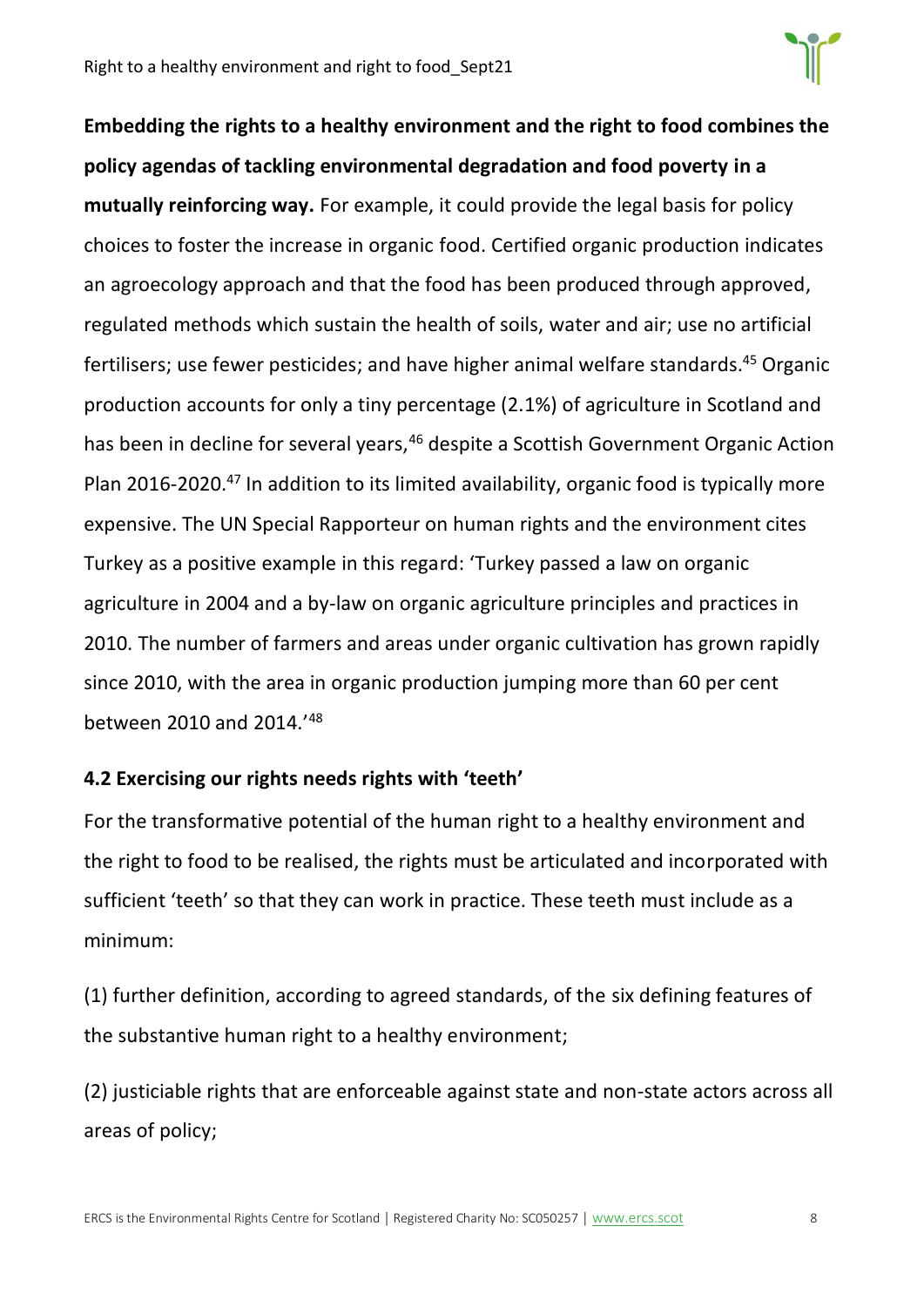

**Embedding the rights to a healthy environment and the right to food combines the policy agendas of tackling environmental degradation and food poverty in a mutually reinforcing way.** For example, it could provide the legal basis for policy choices to foster the increase in organic food. Certified organic production indicates an agroecology approach and that the food has been produced through approved, regulated methods which sustain the health of soils, water and air; use no artificial fertilisers; use fewer pesticides; and have higher animal welfare standards.<sup>45</sup> Organic production accounts for only a tiny percentage (2.1%) of agriculture in Scotland and has been in decline for several years,<sup>46</sup> despite a Scottish Government Organic Action Plan 2016-2020.<sup>47</sup> In addition to its limited availability, organic food is typically more expensive. The UN Special Rapporteur on human rights and the environment cites Turkey as a positive example in this regard: 'Turkey passed a law on organic agriculture in 2004 and a by-law on organic agriculture principles and practices in 2010. The number of farmers and areas under organic cultivation has grown rapidly since 2010, with the area in organic production jumping more than 60 per cent between 2010 and 2014.'<sup>48</sup>

### <span id="page-7-0"></span>**4.2 Exercising our rights needs rights with 'teeth'**

For the transformative potential of the human right to a healthy environment and the right to food to be realised, the rights must be articulated and incorporated with sufficient 'teeth' so that they can work in practice. These teeth must include as a minimum:

(1) further definition, according to agreed standards, of the six defining features of the substantive human right to a healthy environment;

(2) justiciable rights that are enforceable against state and non-state actors across all areas of policy;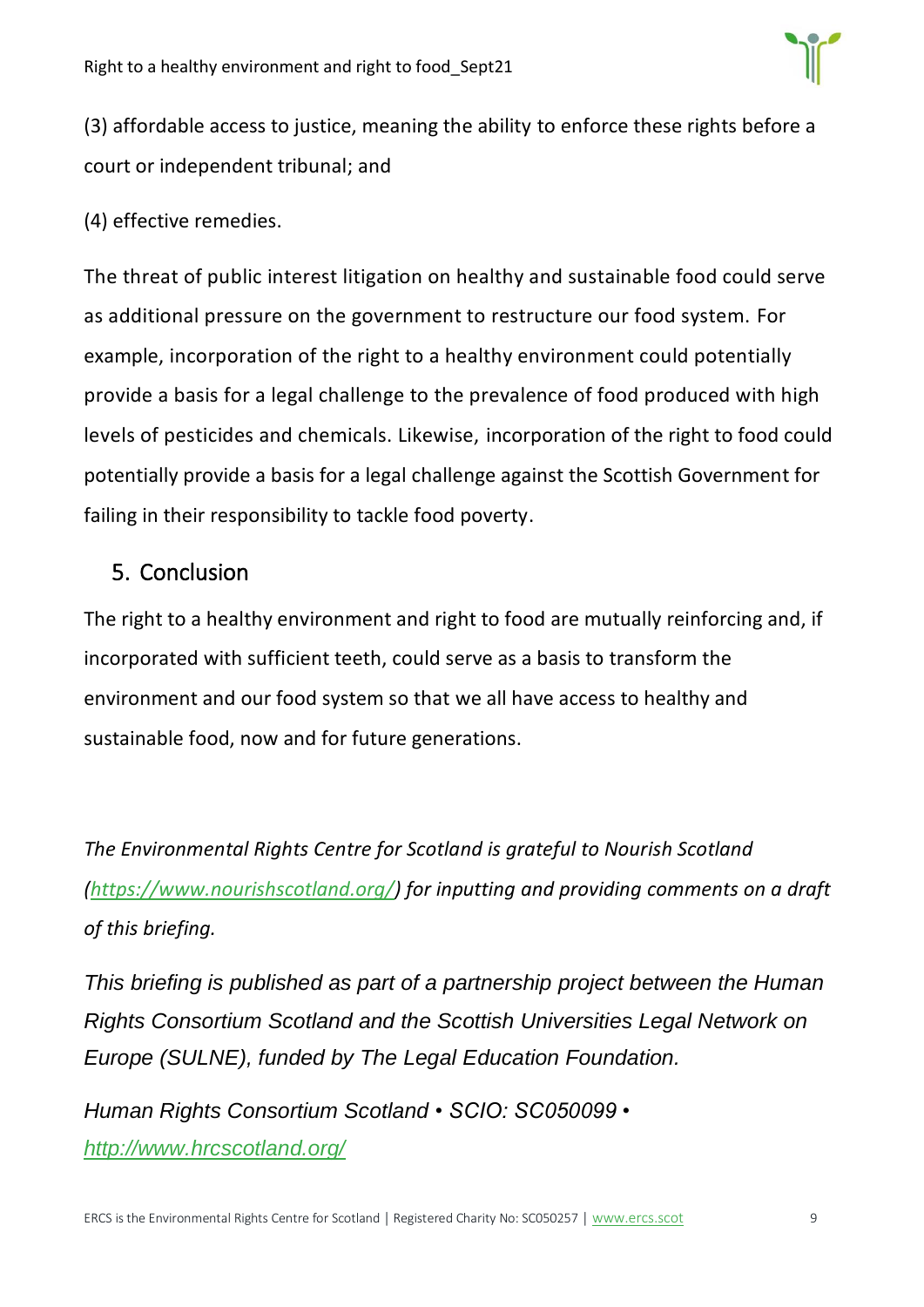

(3) affordable access to justice, meaning the ability to enforce these rights before a court or independent tribunal; and

(4) effective remedies.

The threat of public interest litigation on healthy and sustainable food could serve as additional pressure on the government to restructure our food system. For example, incorporation of the right to a healthy environment could potentially provide a basis for a legal challenge to the prevalence of food produced with high levels of pesticides and chemicals. Likewise, incorporation of the right to food could potentially provide a basis for a legal challenge against the Scottish Government for failing in their responsibility to tackle food poverty.

## <span id="page-8-0"></span>5. Conclusion

The right to a healthy environment and right to food are mutually reinforcing and, if incorporated with sufficient teeth, could serve as a basis to transform the environment and our food system so that we all have access to healthy and sustainable food, now and for future generations.

*The Environmental Rights Centre for Scotland is grateful to Nourish Scotland [\(https://www.nourishscotland.org/\)](https://www.nourishscotland.org/) for inputting and providing comments on a draft of this briefing.*

*This briefing is published as part of a partnership project between the Human Rights Consortium Scotland and the Scottish Universities Legal Network on Europe (SULNE), funded by The Legal Education Foundation.*

*Human Rights Consortium Scotland • SCIO: SC050099 • <http://www.hrcscotland.org/>*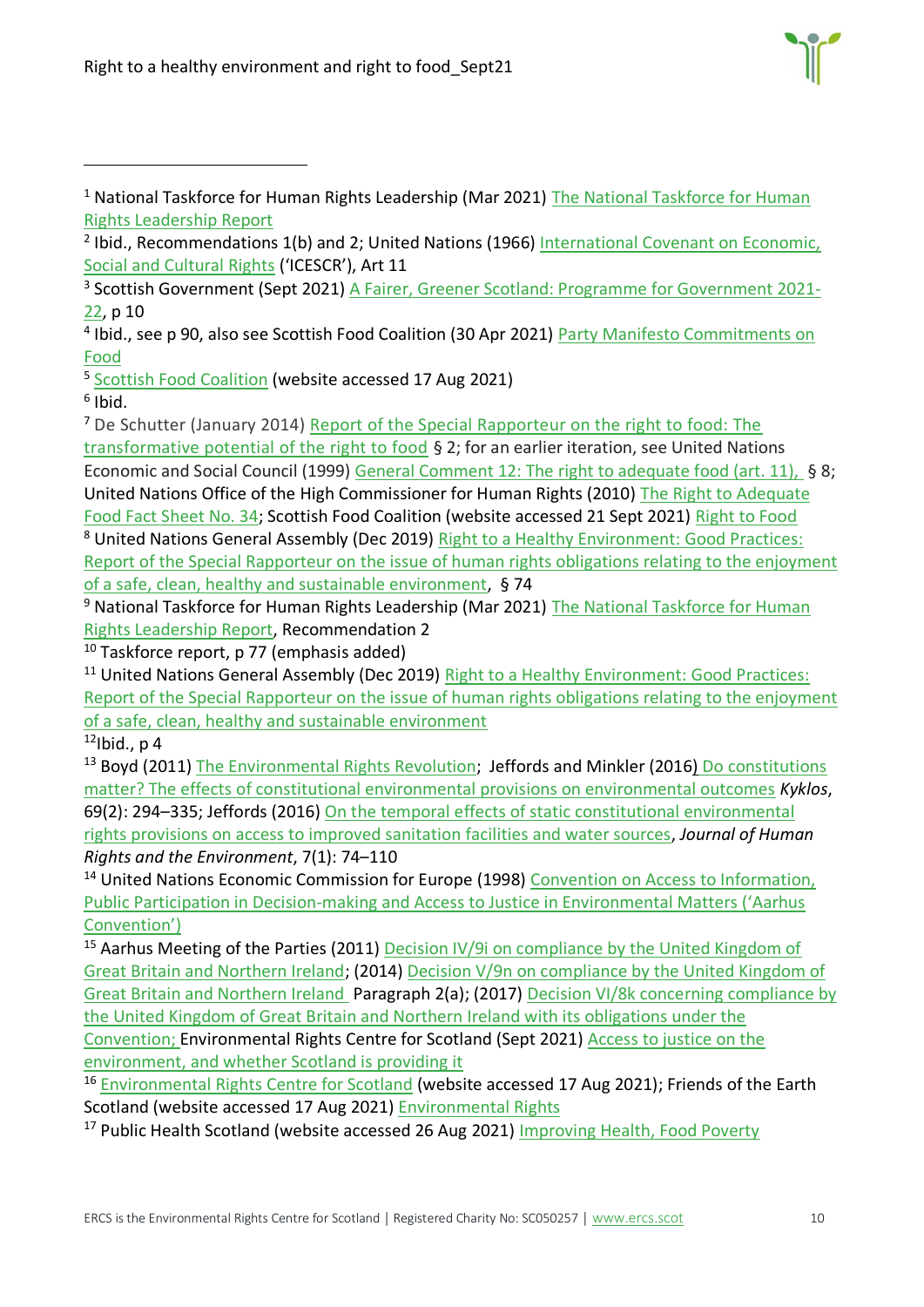Right to a healthy environment and right to food\_Sept21



<sup>1</sup> National Taskforce for Human Rights Leadership (Mar 2021) The National Taskforce for Human [Rights Leadership Report](https://www.gov.scot/publications/national-taskforce-human-rights-leadership-report/)

<sup>7</sup> De Schutter (January 2014) [Report of the Special Rapporteur on the right to food: The](https://undocs.org/A/HRC/25/57)  [transformative potential of the right to food](https://undocs.org/A/HRC/25/57) § 2; for an earlier iteration, see United Nations Economic and Social Council (1999) [General Comment 12: The right to adequate food \(art. 11\),](https://undocs.org/E/C.12/1999/5) § 8; United Nations Office of the High Commissioner for Human Rights (2010) [The Right to Adequate](https://www.ohchr.org/Documents/Publications/FactSheet34en.pdf)  [Food Fact Sheet No. 34;](https://www.ohchr.org/Documents/Publications/FactSheet34en.pdf) Scottish Food Coalition (website accessed 21 Sept 2021) [Right to Food](https://www.foodcoalition.scot/right-to-food.html) <sup>8</sup> United Nations General Assembly (Dec 2019) [Right to a Healthy Environment: Good Practices:](https://undocs.org/A/HRC/43/53)  [Report of the Special Rapporteur on the issue of human rights obligations relating to the enjoyment](https://undocs.org/A/HRC/43/53)  [of a safe, clean, healthy and sustainable environment,](https://undocs.org/A/HRC/43/53) § 74

<sup>9</sup> National Taskforce for Human Rights Leadership (Mar 2021) The National Taskforce for Human [Rights Leadership Report,](https://www.gov.scot/binaries/content/documents/govscot/publications/independent-report/2021/03/national-taskforce-human-rights-leadership-report/documents/national-taskforce-human-rights-leadership-report/national-taskforce-human-rights-leadership-report/govscot%3Adocument/national-taskforce-human-rights-leadership-report.pdf) Recommendation 2

 $10$  Taskforce report, p 77 (emphasis added)

<sup>11</sup> United Nations General Assembly (Dec 2019) Right to a Healthy Environment: Good Practices: [Report of the Special Rapporteur on the issue of human rights obligations relating to the enjoyment](https://undocs.org/A/HRC/43/53)  [of a safe, clean, healthy and sustainable environment](https://undocs.org/A/HRC/43/53)

 $12$ Ibid., p 4

<sup>13</sup> Boyd (2011) [The Environmental Rights Revolution;](https://www.researchgate.net/publication/265725929_The_Environmental_Rights_Revolution_A_Global_Study_of_Constitutions_Human_Rights_and_the_Environment_by_David_R_Boyd_review) Jeffords and Minkler (2016) Do constitutions [matter? The effects of constitutional environmental provisions on environmental outcomes](https://onlinelibrary.wiley.com/doi/abs/10.1111/kykl.12112) *Kyklos*, 69(2): 294–335; Jeffords (2016) [On the temporal effects of static constitutional environmental](https://www.elgaronline.com/view/journals/jhre/7-1/jhre.2016.01.04.xml)  [rights provisions on access to improved sanitation facilities and water sources,](https://www.elgaronline.com/view/journals/jhre/7-1/jhre.2016.01.04.xml) *Journal of Human Rights and the Environment*, 7(1): 74–110

<sup>14</sup> United Nations Economic Commission for Europe (1998) Convention on Access to Information, Public Participation in Decision-[making and Access to Justice in Environmental Matters \('Aarhus](https://unece.org/environment-policy/public-participation/aarhus-convention/text)  [Convention'\)](https://unece.org/environment-policy/public-participation/aarhus-convention/text)

<sup>15</sup> Aarhus Meeting of the Parties (2011) Decision IV/9i on compliance by the United Kingdom of [Great Britain and Northern Ireland;](https://unece.org/DAM/env/pp/mop4/Documents/Excerpts/Decision_IV-9i_Compliance_by_UK_e.pdf) (2014) [Decision V/9n on compliance by the United Kingdom of](https://unece.org/fileadmin/DAM/env/pp/mop5/Documents/Post_session_docs/Decision_excerpts_in_English/Decision_V_9n_on_compliance_by_the_United_Kingdom_of_Great_Britain_and_Northern_Ireland.pdf)  [Great Britain and Northern Ireland](https://unece.org/fileadmin/DAM/env/pp/mop5/Documents/Post_session_docs/Decision_excerpts_in_English/Decision_V_9n_on_compliance_by_the_United_Kingdom_of_Great_Britain_and_Northern_Ireland.pdf) Paragraph 2(a); (2017) [Decision VI/8k concerning compliance by](https://unece.org/fileadmin/DAM/env/pp/mop6/in-session_docs/ECE_MP.PP_2017_CRP.6_E_United_Kingdom.pdf)  [the United Kingdom of Great Britain and Northern Ireland with its obligations under the](https://unece.org/fileadmin/DAM/env/pp/mop6/in-session_docs/ECE_MP.PP_2017_CRP.6_E_United_Kingdom.pdf)  [Convention;](https://unece.org/fileadmin/DAM/env/pp/mop6/in-session_docs/ECE_MP.PP_2017_CRP.6_E_United_Kingdom.pdf) Environmental Rights Centre for Scotland (Sept 2021) [Access to justice on the](https://www.ercs.scot/wp/wp-content/uploads/2021/09/Access_to_environmental_justice_Sept21_v4-1.pdf)  [environment, and whether Scotland is providing it](https://www.ercs.scot/wp/wp-content/uploads/2021/09/Access_to_environmental_justice_Sept21_v4-1.pdf)

<sup>16</sup> [Environmental Rights Centre for Scotland](https://www.ercs.scot/) (website accessed 17 Aug 2021); Friends of the Earth Scotland (website accessed 17 Aug 2021) [Environmental Rights](https://foe.scot/campaign/environmental-rights/)

<sup>17</sup> Public Health Scotland (website accessed 26 Aug 2021) [Improving Health, Food Poverty](http://www.healthscotland.scot/health-inequalities/fundamental-causes/poverty/food-poverty)

<sup>&</sup>lt;sup>2</sup> Ibid., Recommendations 1(b) and 2; United Nations (1966) International Covenant on Economic, [Social and Cultural Rights](https://www.ohchr.org/en/professionalinterest/pages/cescr.aspx) ('ICESCR'), Art 11

<sup>&</sup>lt;sup>3</sup> Scottish Government (Sept 2021) [A Fairer, Greener Scotland: Programme for Government 2021-](https://www.gov.scot/publications/fairer-greener-scotland-programme-government-2021-22/) [22,](https://www.gov.scot/publications/fairer-greener-scotland-programme-government-2021-22/) p 10

<sup>&</sup>lt;sup>4</sup> Ibid., see p 90, also see Scottish Food Coalition (30 Apr 2021) Party Manifesto Commitments on [Food](https://www.foodcoalition.scot/scottish-elections-2021)

<sup>5</sup> [Scottish Food Coalition](https://www.foodcoalition.scot/) (website accessed 17 Aug 2021)

<sup>6</sup> Ibid.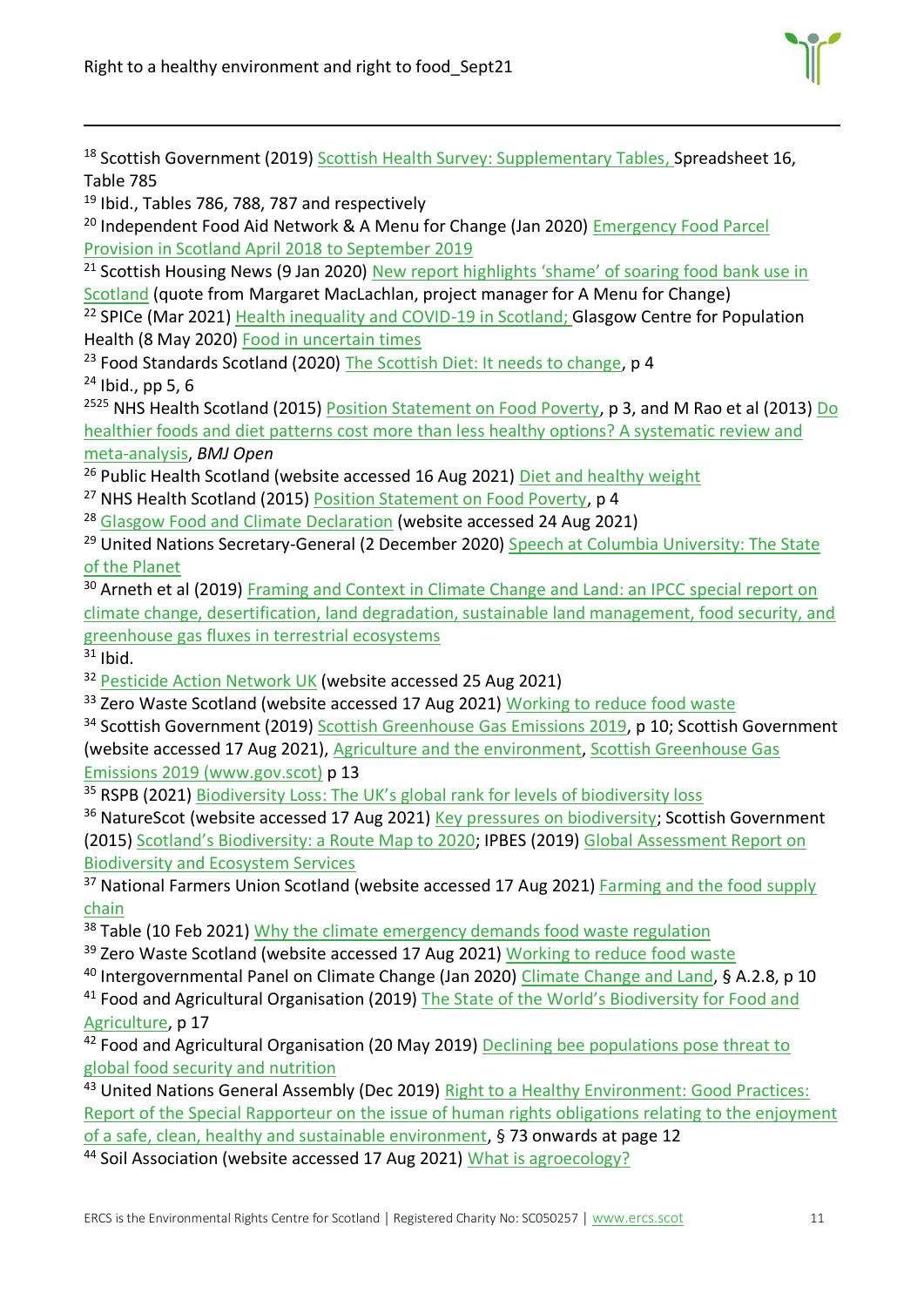Right to a healthy environment and right to food\_Sept21



<sup>18</sup> Scottish Government (2019) [Scottish Health Survey: Supplementary Tables,](https://www.gov.scot/publications/scottish-health-survey-2019-supplementary-tables/) Spreadsheet 16, Table 785

<sup>19</sup> Ibid., Tables 786, 788, 787 and respectively

<sup>20</sup> Independent Food Aid Network & A Menu for Change (Jan 2020) Emergency Food Parcel [Provision in Scotland April 2018 to September 2019](https://uploads.strikinglycdn.com/files/68a9b5b5-d5eb-48aa-ab24-ed413b5c41bc/IFAN%20Menu%20for%20Change%20Briefing%20January%202020.pdf)

<sup>21</sup> Scottish Housing News (9 Jan 2020) New report highlights 'shame' of soaring food bank use in [Scotland](https://www.scottishhousingnews.com/article/new-report-highlights-shame-of-soaring-food-bank-use-in-scotland) (quote from Margaret MacLachlan, project manager for A Menu for Change)

<sup>22</sup> SPICe (Mar 2021) [Health inequality and COVID-19 in Scotland;](https://sp-bpr-en-prod-cdnep.azureedge.net/published/2021/3/23/ee202c60-93ad-4a27-a6e7-67613856ba24/SB%2021-22.pdf) Glasgow Centre for Population Health (8 May 2020) [Food in uncertain times](https://www.gcph.co.uk/latest/news/933_food_in_uncertain_times)

<sup>23</sup> Food Standards Scotland (2020) [The Scottish Diet: It needs to change,](https://www.foodstandards.gov.scot/downloads/Situation_Report_-_The_Scottish_Diet_It_Needs_to_Change_%282020_update%29.pdf) p 4  $24$  Ibid., pp 5, 6

<sup>2525</sup> NHS Health Scotland (2015) [Position Statement on Food Poverty,](http://www.healthscotland.scot/media/1157/food-poverty-statement-11-15.pdf) p 3, and M Rao et al (2013) Do [healthier foods and diet patterns cost more than less healthy options? A systematic review and](https://bmjopen.bmj.com/content/3/12/e004277)  [meta-analysis,](https://bmjopen.bmj.com/content/3/12/e004277) *BMJ Open*

<sup>26</sup> Public Health Scotland (website accessed 16 Aug 2021) [Diet and healthy weight](http://www.healthscotland.scot/health-topics/diet-and-healthy-weight/food-and-diet)

<sup>27</sup> NHS Health Scotland (2015) [Position Statement on Food Poverty,](http://www.healthscotland.scot/media/1157/food-poverty-statement-11-15.pdf) p 4

<sup>28</sup> [Glasgow Food and Climate Declaration](https://2ae0ff20-d9c8-4e34-a427-95229c7e180c.filesusr.com/ugd/31f564_e4399dc2d8e642c7959f47369b3d71ca.pdf) (website accessed 24 Aug 2021)

<sup>29</sup> United Nations Secretary-General (2 December 2020) Speech at Columbia University: The State [of the Planet](https://www.un.org/sg/en/content/sg/speeches/2020-12-02/address-columbia-university-the-state-of-the-planet)

<sup>30</sup> Arneth et al (2019) Framing and Context in Climate Change and Land: an IPCC special report on [climate change, desertification, land degradation, sustainable land management, food security, and](https://www.ipcc.ch/site/assets/uploads/sites/4/2019/12/04_Chapter-1.pdf#page=3)  [greenhouse gas fluxes in terrestrial ecosystems](https://www.ipcc.ch/site/assets/uploads/sites/4/2019/12/04_Chapter-1.pdf#page=3)

 $31$  Ibid.

<sup>32</sup> [Pesticide Action Network UK](https://www.pan-uk.org/pesticides-agriculture-uk/) (website accessed 25 Aug 2021)

<sup>33</sup> Zero Waste Scotland (website accessed 17 Aug 2021) [Working to reduce food waste](https://www.zerowastescotland.org.uk/reduce-food-waste)

<sup>34</sup> Scottish Government (2019) [Scottish Greenhouse Gas Emissions 2019,](https://www.gov.scot/binaries/content/documents/govscot/publications/statistics/2021/06/scottish-greenhouse-gas-statistics-1990-2019/documents/scottish-greenhouse-gas-emissions-2019/scottish-greenhouse-gas-emissions-2019/govscot%3Adocument/scottish-greenhouse-gas-emissions-2019.pdf?forceDownload=true) p 10; Scottish Government (website accessed 17 Aug 2021), [Agriculture and the](https://www.gov.scot/policies/agriculture-and-the-environment/) environment, [Scottish Greenhouse Gas](https://www.gov.scot/binaries/content/documents/govscot/publications/statistics/2021/06/scottish-greenhouse-gas-statistics-1990-2019/documents/scottish-greenhouse-gas-emissions-2019/scottish-greenhouse-gas-emissions-2019/govscot%3Adocument/scottish-greenhouse-gas-emissions-2019.pdf?forceDownload=true)  [Emissions 2019 \(www.gov.scot\)](https://www.gov.scot/binaries/content/documents/govscot/publications/statistics/2021/06/scottish-greenhouse-gas-statistics-1990-2019/documents/scottish-greenhouse-gas-emissions-2019/scottish-greenhouse-gas-emissions-2019/govscot%3Adocument/scottish-greenhouse-gas-emissions-2019.pdf?forceDownload=true) p 13

<sup>35</sup> RSPB (2021) [Biodiversity Loss: The UK's global rank for levels of biodiversity loss](https://www.rspb.org.uk/globalassets/downloads/about-us/48398rspb-biodivesity-intactness-index-summary-report-v4.pdf)

<sup>36</sup> NatureScot (website accessed 17 Aug 2021) [Key pressures on biodiversity;](https://www.nature.scot/scotlands-biodiversity/key-pressures-biodiversity) Scottish Government (2015) Scotland['s Biodiversity: a Route Map to 2020](https://www.gov.scot/binaries/content/documents/govscot/publications/strategy-plan/2015/06/scotlands-biodiversity-route-map-2020/documents/00480289-pdf/00480289-pdf/govscot%3Adocument/00480289.pdf); IPBES (2019) [Global Assessment Report on](https://ipbes.net/global-assessment)  [Biodiversity and Ecosystem Services](https://ipbes.net/global-assessment)

<sup>37</sup> National Farmers Union Scotland (website accessed 17 Aug 2021) Farming and the food supply [chain](https://www.nfus.org.uk/farming-facts/farming-and-the-food-supply-chain.aspx)

<sup>38</sup> Table (10 Feb 2021) [Why the climate emergency demands food waste regulation](https://www.tabledebates.org/blog/why-climate-emergency-demands-food-waste-regulation)

<sup>39</sup> Zero Waste Scotland (website accessed 17 Aug 2021) [Working to reduce food waste](https://www.zerowastescotland.org.uk/reduce-food-waste)

<sup>40</sup> Intergovernmental Panel on Climate Change (Jan 2020) [Climate Change and Land,](https://www.ipcc.ch/site/assets/uploads/sites/4/2020/02/SPM_Updated-Jan20.pdf) § A.2.8, p 10

<sup>41</sup> Food and Agricultural Organisation (2019) The State of the World's Biodiversity for Food and [Agriculture,](http://www.fao.org/3/CA3129EN/CA3129EN.pdf) p 17

<sup>42</sup> Food and Agricultural Organisation (20 May 2019) Declining bee populations pose threat to [global food security and nutrition](http://www.fao.org/news/story/en/item/1194910/icode/)

<sup>43</sup> United Nations General Assembly (Dec 2019) Right to a Healthy Environment: Good Practices: [Report of the Special Rapporteur on the issue of human rights obligations relating to the enjoyment](https://undocs.org/A/HRC/43/53)  [of a safe, clean, healthy and sustainable environment,](https://undocs.org/A/HRC/43/53) § 73 onwards at page 12

<sup>44</sup> Soil Association (website accessed 17 Aug 2021) [What is agroecology?](https://www.soilassociation.org/causes-campaigns/a-ten-year-transition-to-agroecology/what-is-agroecology/)